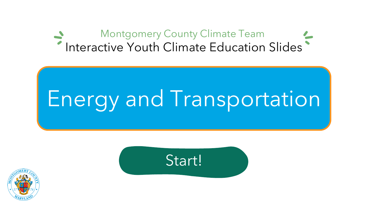#### <span id="page-0-0"></span>Montgomery County Climate Team Interactive Youth Climate Education Slides

# Energy and Transportation



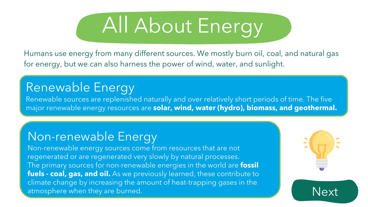

<span id="page-1-0"></span>Humans use energy from many different sources. We mostly burn oil, coal, and natural gas for energy, but we can also harness the power of wind, water, and sunlight.

### Renewable Energy

Renewable sources are replenished naturally and over relatively short periods of time. The five major renewable energy resources are **solar, wind, water (hydro), biomass, and geothermal.**

#### Non-renewable Energy

Non-renewable energy sources come from resources that are not regenerated or are regenerated very slowly by natural processes. The primary sources for non-renewable energies in the world are **fossil fuels - coal, gas, and oil.** As we previously learned, these contribute to climate change by increasing the amount of heat-trapping gases in the atmosphere when they are burned.  $N_{\text{ex}}$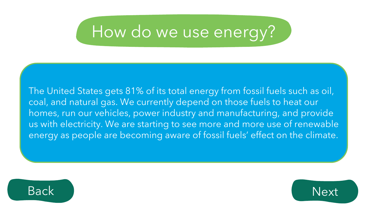## <span id="page-2-0"></span>How do we use energy?

The United States gets 81% of its total energy from fossil fuels such as oil, coal, and natural gas. We currently depend on those fuels to heat our homes, run our vehicles, power industry and manufacturing, and provide us with electricity. We are starting to see more and more use of renewable energy as people are becoming aware of fossil fuels' effect on the climate.



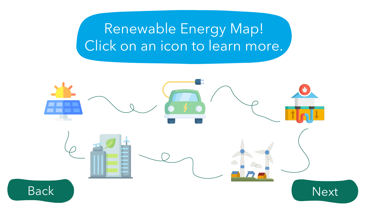### Renewable Energy Map! Click on an icon to learn more.

<span id="page-3-0"></span>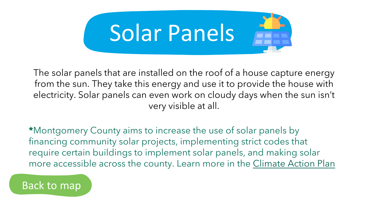

The solar panels that are installed on the roof of a house capture energy from the sun. They take this energy and use it to provide the house with electricity. Solar panels can even work on cloudy days when the sun isn't very visible at all.

**\***Montgomery County aims to increase the use of solar panels by financing community solar projects, implementing strict codes that require certain buildings to implement solar panels, and making solar more accessible across the county. Learn more in the [Climate Action Plan](#page-9-0)

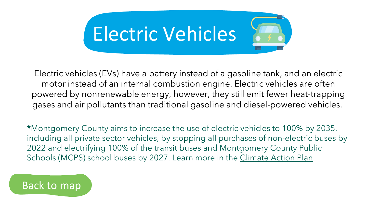

Electric vehicles (EVs) have a battery instead of a gasoline tank, and an electric motor instead of an internal combustion engine. Electric vehicles are often powered by nonrenewable energy, however, they still emit fewer heat-trapping gases and air pollutants than traditional gasoline and diesel-powered vehicles.

**\***Montgomery County aims to increase the use of electric vehicles to 100% by 2035, including all private sector vehicles, by stopping all purchases of non-electric buses by 2022 and electrifying 100% of the transit buses and Montgomery County Public Schools (MCPS) school buses by 2027. Learn more in the [Climate Action Plan](#page-9-0)

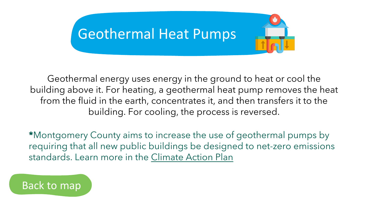

Geothermal energy uses energy in the ground to heat or cool the building above it. For heating, a geothermal heat pump removes the heat from the fluid in the earth, concentrates it, and then transfers it to the building. For cooling, the process is reversed.

**\***Montgomery County aims to increase the use of geothermal pumps by requiring that all new public buildings be designed to net-zero emissions standards. Learn more in the [Climate Action Plan](#page-9-0)

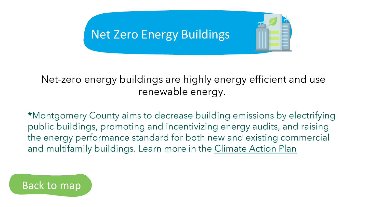### **Net Zero Energy Buildings**



#### Net-zero energy buildings are highly energy efficient and use renewable energy.

**\***Montgomery County aims to decrease building emissions by electrifying public buildings, promoting and incentivizing energy audits, and raising the energy performance standard for both new and existing commercial and multifamily buildings. Learn more in the [Climate Action Plan](#page-9-0)

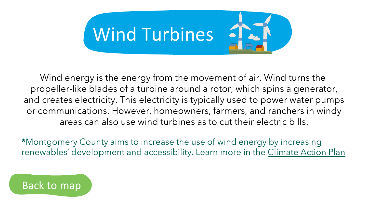

Wind energy is the energy from the movement of air. Wind turns the propeller-like blades of a turbine around a rotor, which spins a generator, and creates electricity. This electricity is typically used to power water pumps or communications. However, homeowners, farmers, and ranchers in windy areas can also use wind turbines as to cut their electric bills.

**\***Montgomery County aims to increase the use of wind energy by increasing renewables' development and accessibility. Learn more in the [Climate Action Plan](#page-9-0)

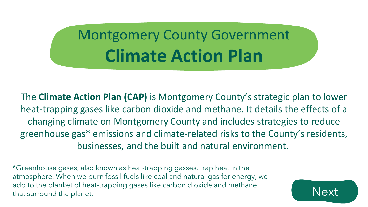## <span id="page-9-0"></span>Montgomery County Government **Climate Action Plan**

The **Climate Action Plan (CAP)** is Montgomery County's strategic plan to lower heat-trapping gases like carbon dioxide and methane. It details the effects of a changing climate on Montgomery County and includes strategies to reduce greenhouse gas\* emissions and climate-related risks to the County's residents, businesses, and the built and natural environment.

\*Greenhouse gases, also known as heat-trapping gasses, trap heat in the atmosphere. When we burn fossil fuels like coal and natural gas for energy, we add to the blanket of heat-trapping gases like carbon dioxide and methane that surround the planet.

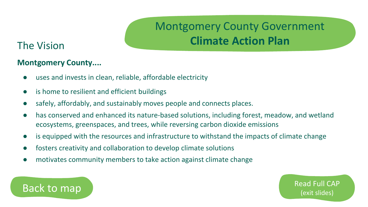### Montgomery County Government **Climate Action Plan**

[Read Full CAP](https://www.montgomerycountymd.gov/green/Resources/Files/climate/climate-action-plan.pdf) 

#### <span id="page-10-0"></span>The Vision

#### **Montgomery County....**

- uses and invests in clean, reliable, affordable electricity
- is home to resilient and efficient buildings
- safely, affordably, and sustainably moves people and connects places.
- has conserved and enhanced its nature-based solutions, including forest, meadow, and wetland ecosystems, greenspaces, and trees, while reversing carbon dioxide emissions
- is equipped with the resources and infrastructure to withstand the impacts of climate change
- fosters creativity and collaboration to develop climate solutions
- motivates community members to take action against climate change

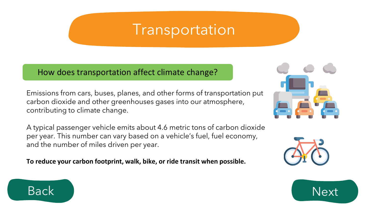### Transportation

#### <span id="page-11-0"></span>How does transportation affect climate change?

Emissions from cars, buses, planes, and other forms of transportation put carbon dioxide and other greenhouses gases into our atmosphere, contributing to climate change.

A typical passenger vehicle emits about 4.6 metric tons of carbon dioxide per year. This number can vary based on a vehicle's fuel, fuel economy, and the number of miles driven per year.

**To reduce your carbon footprint, walk, bike, or ride transit when possible.**





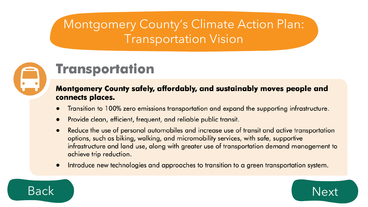### Montgomery County's Climate Action Plan: Transportation Vision

<span id="page-12-0"></span>

### **Transportation**

#### **Montgomery County safely, affordably, and sustainably moves people and** connects places.

- Transition to 100% zero emissions transportation and expand the supporting infrastructure.
- Provide clean, efficient, frequent, and reliable public transit.  $\bullet$
- Reduce the use of personal automobiles and increase use of transit and active transportation  $\bullet$ options, such as biking, walking, and micromobility services, with safe, supportive infrastructure and land use, along with greater use of transportation demand management to achieve trip reduction.
- Introduce new technologies and approaches to transition to a green transportation system.  $\bullet$



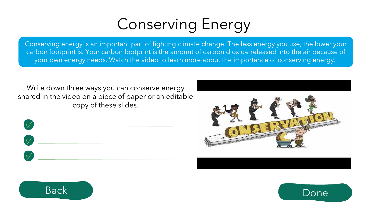## Conserving Energy

<span id="page-13-0"></span>Conserving energy is an important part of fighting climate change. The less energy you use, the lower your carbon footprint is. Your carbon footprint is the amount of carbon dioxide released into the air because of your own energy needs. Watch the video to learn more about the importance of conserving energy.

Write down three ways you can conserve energy shared in the video on a piece of paper or an editable copy of these slides.